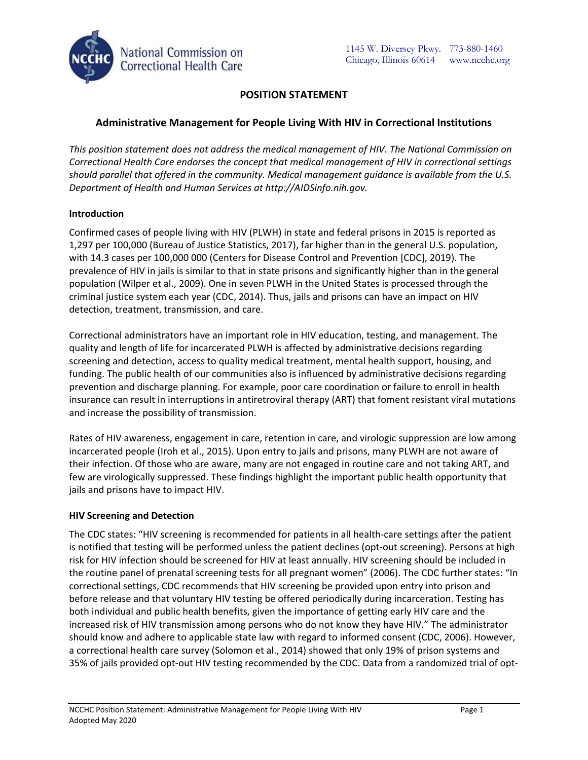

# **POSITION STATEMENT**

# **Administrative Management for People Living With HIV in Correctional Institutions**

*This position statement does not address the medical management of HIV. The National Commission on Correctional Health Care endorses the concept that medical management of HIV in correctional settings should parallel that offered in the community. Medical management guidance is available from the U.S. Department of Health and Human Services at http://AIDSinfo.nih.gov.*

### **Introduction**

Confirmed cases of people living with HIV (PLWH) in state and federal prisons in 2015 is reported as 1,297 per 100,000 (Bureau of Justice Statistics, 2017), far higher than in the general U.S. population, with 14.3 cases per 100,000 000 (Centers for Disease Control and Prevention [CDC], 2019). The prevalence of HIV in jails is similar to that in state prisons and significantly higher than in the general population (Wilper et al., 2009). One in seven PLWH in the United States is processed through the criminal justice system each year (CDC, 2014). Thus, jails and prisons can have an impact on HIV detection, treatment, transmission, and care.

Correctional administrators have an important role in HIV education, testing, and management. The quality and length of life for incarcerated PLWH is affected by administrative decisions regarding screening and detection, access to quality medical treatment, mental health support, housing, and funding. The public health of our communities also is influenced by administrative decisions regarding prevention and discharge planning. For example, poor care coordination or failure to enroll in health insurance can result in interruptions in antiretroviral therapy (ART) that foment resistant viral mutations and increase the possibility of transmission.

Rates of HIV awareness, engagement in care, retention in care, and virologic suppression are low among incarcerated people (Iroh et al., 2015). Upon entry to jails and prisons, many PLWH are not aware of their infection. Of those who are aware, many are not engaged in routine care and not taking ART, and few are virologically suppressed. These findings highlight the important public health opportunity that jails and prisons have to impact HIV.

#### **HIV Screening and Detection**

The CDC states: "HIV screening is recommended for patients in all health-care settings after the patient is notified that testing will be performed unless the patient declines (opt-out screening). Persons at high risk for HIV infection should be screened for HIV at least annually. HIV screening should be included in the routine panel of prenatal screening tests for all pregnant women" (2006). The CDC further states: "In correctional settings, CDC recommends that HIV screening be provided upon entry into prison and before release and that voluntary HIV testing be offered periodically during incarceration. Testing has both individual and public health benefits, given the importance of getting early HIV care and the increased risk of HIV transmission among persons who do not know they have HIV." The administrator should know and adhere to applicable state law with regard to informed consent (CDC, 2006). However, a correctional health care survey (Solomon et al., 2014) showed that only 19% of prison systems and 35% of jails provided opt-out HIV testing recommended by the CDC. Data from a randomized trial of opt-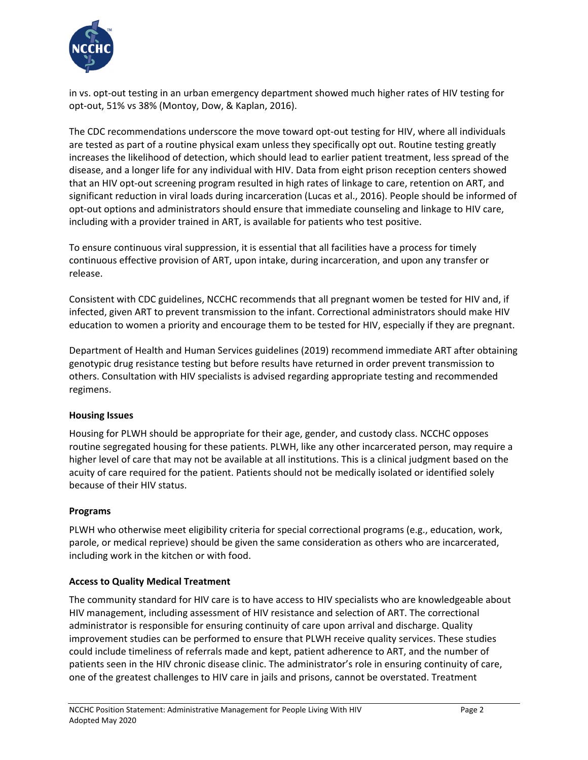

in vs. opt-out testing in an urban emergency department showed much higher rates of HIV testing for opt-out, 51% vs 38% (Montoy, Dow, & Kaplan, 2016).

The CDC recommendations underscore the move toward opt-out testing for HIV, where all individuals are tested as part of a routine physical exam unless they specifically opt out. Routine testing greatly increases the likelihood of detection, which should lead to earlier patient treatment, less spread of the disease, and a longer life for any individual with HIV. Data from eight prison reception centers showed that an HIV opt-out screening program resulted in high rates of linkage to care, retention on ART, and significant reduction in viral loads during incarceration (Lucas et al., 2016). People should be informed of opt-out options and administrators should ensure that immediate counseling and linkage to HIV care, including with a provider trained in ART, is available for patients who test positive.

To ensure continuous viral suppression, it is essential that all facilities have a process for timely continuous effective provision of ART, upon intake, during incarceration, and upon any transfer or release.

Consistent with CDC guidelines, NCCHC recommends that all pregnant women be tested for HIV and, if infected, given ART to prevent transmission to the infant. Correctional administrators should make HIV education to women a priority and encourage them to be tested for HIV, especially if they are pregnant.

Department of Health and Human Services guidelines (2019) recommend immediate ART after obtaining genotypic drug resistance testing but before results have returned in order prevent transmission to others. Consultation with HIV specialists is advised regarding appropriate testing and recommended regimens.

## **Housing Issues**

Housing for PLWH should be appropriate for their age, gender, and custody class. NCCHC opposes routine segregated housing for these patients. PLWH, like any other incarcerated person, may require a higher level of care that may not be available at all institutions. This is a clinical judgment based on the acuity of care required for the patient. Patients should not be medically isolated or identified solely because of their HIV status.

## **Programs**

PLWH who otherwise meet eligibility criteria for special correctional programs (e.g., education, work, parole, or medical reprieve) should be given the same consideration as others who are incarcerated, including work in the kitchen or with food.

#### **Access to Quality Medical Treatment**

The community standard for HIV care is to have access to HIV specialists who are knowledgeable about HIV management, including assessment of HIV resistance and selection of ART. The correctional administrator is responsible for ensuring continuity of care upon arrival and discharge. Quality improvement studies can be performed to ensure that PLWH receive quality services. These studies could include timeliness of referrals made and kept, patient adherence to ART, and the number of patients seen in the HIV chronic disease clinic. The administrator's role in ensuring continuity of care, one of the greatest challenges to HIV care in jails and prisons, cannot be overstated. Treatment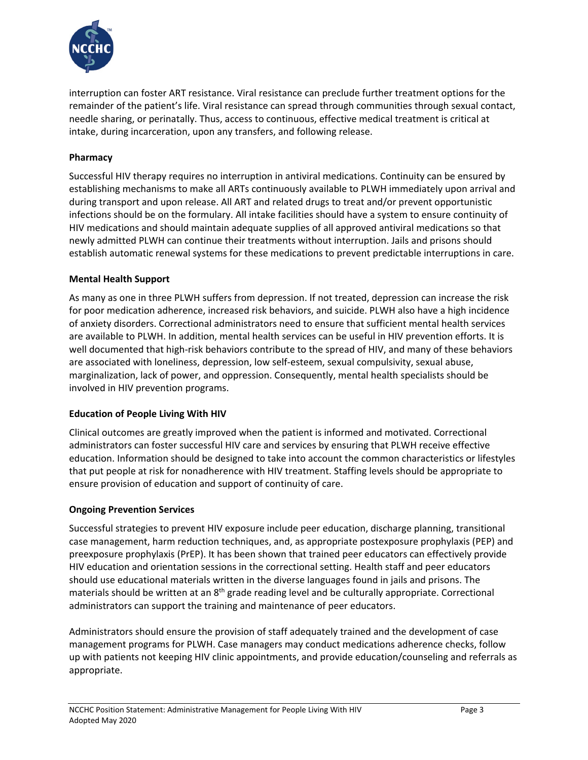

interruption can foster ART resistance. Viral resistance can preclude further treatment options for the remainder of the patient's life. Viral resistance can spread through communities through sexual contact, needle sharing, or perinatally. Thus, access to continuous, effective medical treatment is critical at intake, during incarceration, upon any transfers, and following release.

## **Pharmacy**

Successful HIV therapy requires no interruption in antiviral medications. Continuity can be ensured by establishing mechanisms to make all ARTs continuously available to PLWH immediately upon arrival and during transport and upon release. All ART and related drugs to treat and/or prevent opportunistic infections should be on the formulary. All intake facilities should have a system to ensure continuity of HIV medications and should maintain adequate supplies of all approved antiviral medications so that newly admitted PLWH can continue their treatments without interruption. Jails and prisons should establish automatic renewal systems for these medications to prevent predictable interruptions in care.

#### **Mental Health Support**

As many as one in three PLWH suffers from depression. If not treated, depression can increase the risk for poor medication adherence, increased risk behaviors, and suicide. PLWH also have a high incidence of anxiety disorders. Correctional administrators need to ensure that sufficient mental health services are available to PLWH. In addition, mental health services can be useful in HIV prevention efforts. It is well documented that high-risk behaviors contribute to the spread of HIV, and many of these behaviors are associated with loneliness, depression, low self-esteem, sexual compulsivity, sexual abuse, marginalization, lack of power, and oppression. Consequently, mental health specialists should be involved in HIV prevention programs.

## **Education of People Living With HIV**

Clinical outcomes are greatly improved when the patient is informed and motivated. Correctional administrators can foster successful HIV care and services by ensuring that PLWH receive effective education. Information should be designed to take into account the common characteristics or lifestyles that put people at risk for nonadherence with HIV treatment. Staffing levels should be appropriate to ensure provision of education and support of continuity of care.

#### **Ongoing Prevention Services**

Successful strategies to prevent HIV exposure include peer education, discharge planning, transitional case management, harm reduction techniques, and, as appropriate postexposure prophylaxis (PEP) and preexposure prophylaxis (PrEP). It has been shown that trained peer educators can effectively provide HIV education and orientation sessions in the correctional setting. Health staff and peer educators should use educational materials written in the diverse languages found in jails and prisons. The materials should be written at an 8<sup>th</sup> grade reading level and be culturally appropriate. Correctional administrators can support the training and maintenance of peer educators.

Administrators should ensure the provision of staff adequately trained and the development of case management programs for PLWH. Case managers may conduct medications adherence checks, follow up with patients not keeping HIV clinic appointments, and provide education/counseling and referrals as appropriate.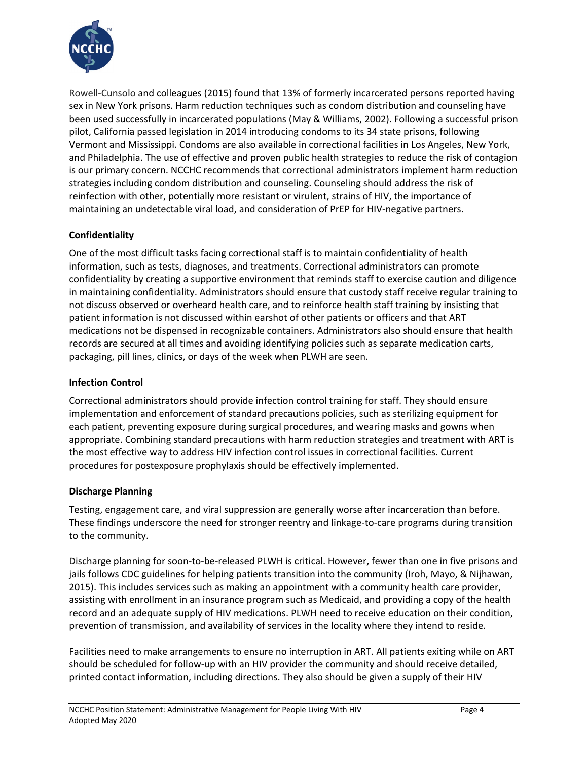

Rowell-Cunsolo and colleagues (2015) found that 13% of formerly incarcerated persons reported having sex in New York prisons. Harm reduction techniques such as condom distribution and counseling have been used successfully in incarcerated populations (May & Williams, 2002). Following a successful prison pilot, California passed legislation in 2014 introducing condoms to its 34 state prisons, following Vermont and Mississippi. Condoms are also available in correctional facilities in Los Angeles, New York, and Philadelphia. The use of effective and proven public health strategies to reduce the risk of contagion is our primary concern. NCCHC recommends that correctional administrators implement harm reduction strategies including condom distribution and counseling. Counseling should address the risk of reinfection with other, potentially more resistant or virulent, strains of HIV, the importance of maintaining an undetectable viral load, and consideration of PrEP for HIV-negative partners.

# **Confidentiality**

One of the most difficult tasks facing correctional staff is to maintain confidentiality of health information, such as tests, diagnoses, and treatments. Correctional administrators can promote confidentiality by creating a supportive environment that reminds staff to exercise caution and diligence in maintaining confidentiality. Administrators should ensure that custody staff receive regular training to not discuss observed or overheard health care, and to reinforce health staff training by insisting that patient information is not discussed within earshot of other patients or officers and that ART medications not be dispensed in recognizable containers. Administrators also should ensure that health records are secured at all times and avoiding identifying policies such as separate medication carts, packaging, pill lines, clinics, or days of the week when PLWH are seen.

## **Infection Control**

Correctional administrators should provide infection control training for staff. They should ensure implementation and enforcement of standard precautions policies, such as sterilizing equipment for each patient, preventing exposure during surgical procedures, and wearing masks and gowns when appropriate. Combining standard precautions with harm reduction strategies and treatment with ART is the most effective way to address HIV infection control issues in correctional facilities. Current procedures for postexposure prophylaxis should be effectively implemented.

#### **Discharge Planning**

Testing, engagement care, and viral suppression are generally worse after incarceration than before. These findings underscore the need for stronger reentry and linkage-to-care programs during transition to the community.

Discharge planning for soon-to-be-released PLWH is critical. However, fewer than one in five prisons and jails follows CDC guidelines for helping patients transition into the community (Iroh, Mayo, & Nijhawan, 2015). This includes services such as making an appointment with a community health care provider, assisting with enrollment in an insurance program such as Medicaid, and providing a copy of the health record and an adequate supply of HIV medications. PLWH need to receive education on their condition, prevention of transmission, and availability of services in the locality where they intend to reside.

Facilities need to make arrangements to ensure no interruption in ART. All patients exiting while on ART should be scheduled for follow-up with an HIV provider the community and should receive detailed, printed contact information, including directions. They also should be given a supply of their HIV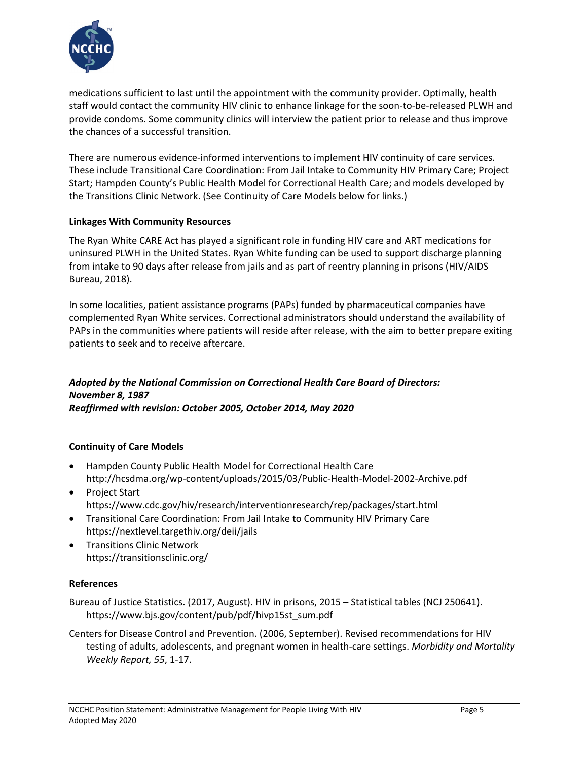

medications sufficient to last until the appointment with the community provider. Optimally, health staff would contact the community HIV clinic to enhance linkage for the soon-to-be-released PLWH and provide condoms. Some community clinics will interview the patient prior to release and thus improve the chances of a successful transition.

There are numerous evidence-informed interventions to implement HIV continuity of care services. These include Transitional Care Coordination: From Jail Intake to Community HIV Primary Care; Project Start; Hampden County's Public Health Model for Correctional Health Care; and models developed by the Transitions Clinic Network. (See Continuity of Care Models below for links.)

### **Linkages With Community Resources**

The Ryan White CARE Act has played a significant role in funding HIV care and ART medications for uninsured PLWH in the United States. Ryan White funding can be used to support discharge planning from intake to 90 days after release from jails and as part of reentry planning in prisons (HIV/AIDS Bureau, 2018).

In some localities, patient assistance programs (PAPs) funded by pharmaceutical companies have complemented Ryan White services. Correctional administrators should understand the availability of PAPs in the communities where patients will reside after release, with the aim to better prepare exiting patients to seek and to receive aftercare.

### *Adopted by the National Commission on Correctional Health Care Board of Directors: November 8, 1987 Reaffirmed with revision: October 2005, October 2014, May 2020*

## **Continuity of Care Models**

- Hampden County Public Health Model for Correctional Health Care http://hcsdma.org/wp-content/uploads/2015/03/Public-Health-Model-2002-Archive.pdf
- Project Start <https://www.cdc.gov/hiv/research/interventionresearch/rep/packages/start.html>
- Transitional Care Coordination: From Jail Intake to Community HIV Primary Care <https://nextlevel.targethiv.org/deii/jails>
- Transitions Clinic Network https://transitionsclinic.org/

## **References**

Bureau of Justice Statistics. (2017, August). HIV in prisons, 2015 – Statistical tables (NCJ 250641). https://www.bjs.gov/content/pub/pdf/hivp15st\_sum.pdf

Centers for Disease Control and Prevention. (2006, September). Revised recommendations for HIV testing of adults, adolescents, and pregnant women in health-care settings. *Morbidity and Mortality Weekly Report, 55*, 1-17.